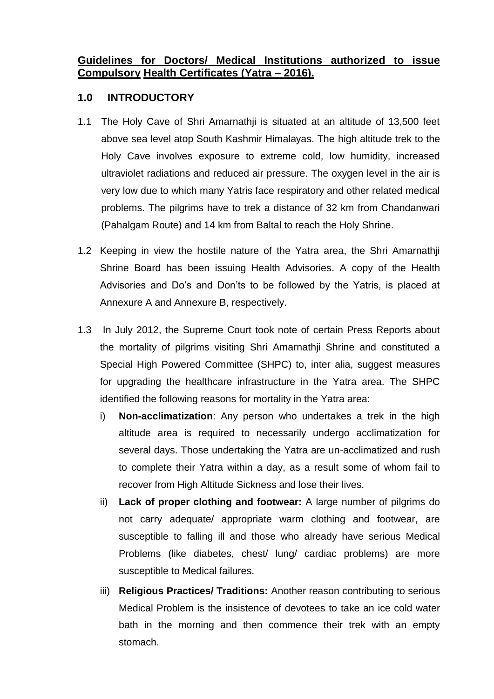#### **Guidelines for Doctors/ Medical Institutions authorized to issue Compulsory Health Certificates (Yatra – 2016).**

#### **1.0 INTRODUCTORY**

- 1.1 The Holy Cave of Shri Amarnathji is situated at an altitude of 13,500 feet above sea level atop South Kashmir Himalayas. The high altitude trek to the Holy Cave involves exposure to extreme cold, low humidity, increased ultraviolet radiations and reduced air pressure. The oxygen level in the air is very low due to which many Yatris face respiratory and other related medical problems. The pilgrims have to trek a distance of 32 km from Chandanwari (Pahalgam Route) and 14 km from Baltal to reach the Holy Shrine.
- 1.2 Keeping in view the hostile nature of the Yatra area, the Shri Amarnathji Shrine Board has been issuing Health Advisories. A copy of the Health Advisories and Do's and Don'ts to be followed by the Yatris, is placed at Annexure A and Annexure B, respectively.
- 1.3 In July 2012, the Supreme Court took note of certain Press Reports about the mortality of pilgrims visiting Shri Amarnathji Shrine and constituted a Special High Powered Committee (SHPC) to, inter alia, suggest measures for upgrading the healthcare infrastructure in the Yatra area. The SHPC identified the following reasons for mortality in the Yatra area:
	- i) **Non-acclimatization**: Any person who undertakes a trek in the high altitude area is required to necessarily undergo acclimatization for several days. Those undertaking the Yatra are un-acclimatized and rush to complete their Yatra within a day, as a result some of whom fail to recover from High Altitude Sickness and lose their lives.
	- ii) **Lack of proper clothing and footwear:** A large number of pilgrims do not carry adequate/ appropriate warm clothing and footwear, are susceptible to falling ill and those who already have serious Medical Problems (like diabetes, chest/ lung/ cardiac problems) are more susceptible to Medical failures.
	- iii) **Religious Practices/ Traditions:** Another reason contributing to serious Medical Problem is the insistence of devotees to take an ice cold water bath in the morning and then commence their trek with an empty stomach.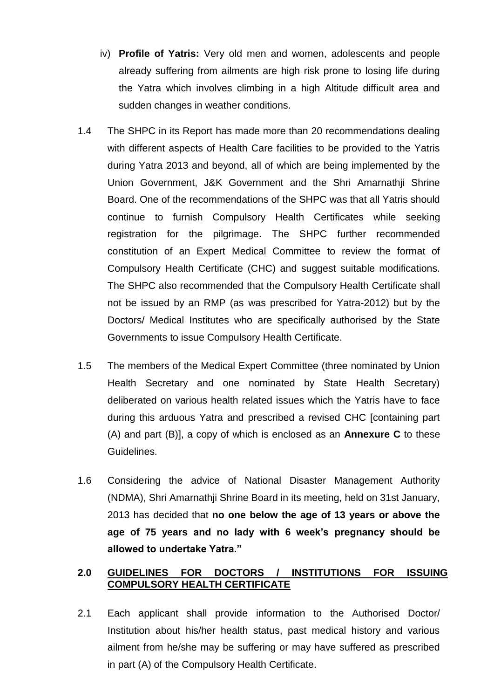- iv) **Profile of Yatris:** Very old men and women, adolescents and people already suffering from ailments are high risk prone to losing life during the Yatra which involves climbing in a high Altitude difficult area and sudden changes in weather conditions.
- 1.4 The SHPC in its Report has made more than 20 recommendations dealing with different aspects of Health Care facilities to be provided to the Yatris during Yatra 2013 and beyond, all of which are being implemented by the Union Government, J&K Government and the Shri Amarnathji Shrine Board. One of the recommendations of the SHPC was that all Yatris should continue to furnish Compulsory Health Certificates while seeking registration for the pilgrimage. The SHPC further recommended constitution of an Expert Medical Committee to review the format of Compulsory Health Certificate (CHC) and suggest suitable modifications. The SHPC also recommended that the Compulsory Health Certificate shall not be issued by an RMP (as was prescribed for Yatra-2012) but by the Doctors/ Medical Institutes who are specifically authorised by the State Governments to issue Compulsory Health Certificate.
- 1.5 The members of the Medical Expert Committee (three nominated by Union Health Secretary and one nominated by State Health Secretary) deliberated on various health related issues which the Yatris have to face during this arduous Yatra and prescribed a revised CHC [containing part (A) and part (B)], a copy of which is enclosed as an **Annexure C** to these Guidelines.
- 1.6 Considering the advice of National Disaster Management Authority (NDMA), Shri Amarnathji Shrine Board in its meeting, held on 31st January, 2013 has decided that **no one below the age of 13 years or above the age of 75 years and no lady with 6 week's pregnancy should be allowed to undertake Yatra."**

#### **2.0 GUIDELINES FOR DOCTORS / INSTITUTIONS FOR ISSUING COMPULSORY HEALTH CERTIFICATE**

2.1 Each applicant shall provide information to the Authorised Doctor/ Institution about his/her health status, past medical history and various ailment from he/she may be suffering or may have suffered as prescribed in part (A) of the Compulsory Health Certificate.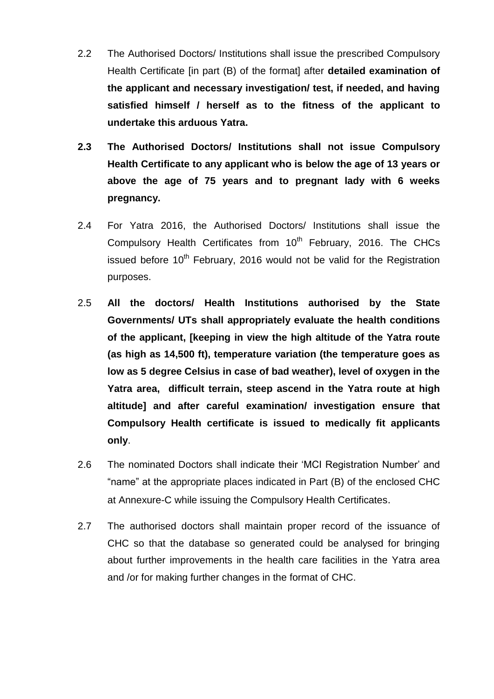- 2.2 The Authorised Doctors/ Institutions shall issue the prescribed Compulsory Health Certificate [in part (B) of the format] after **detailed examination of the applicant and necessary investigation/ test, if needed, and having satisfied himself / herself as to the fitness of the applicant to undertake this arduous Yatra.**
- **2.3 The Authorised Doctors/ Institutions shall not issue Compulsory Health Certificate to any applicant who is below the age of 13 years or above the age of 75 years and to pregnant lady with 6 weeks pregnancy.**
- 2.4 For Yatra 2016, the Authorised Doctors/ Institutions shall issue the Compulsory Health Certificates from 10<sup>th</sup> February, 2016. The CHCs issued before  $10<sup>th</sup>$  February, 2016 would not be valid for the Registration purposes.
- 2.5 **All the doctors/ Health Institutions authorised by the State Governments/ UTs shall appropriately evaluate the health conditions of the applicant, [keeping in view the high altitude of the Yatra route (as high as 14,500 ft), temperature variation (the temperature goes as low as 5 degree Celsius in case of bad weather), level of oxygen in the Yatra area, difficult terrain, steep ascend in the Yatra route at high altitude] and after careful examination/ investigation ensure that Compulsory Health certificate is issued to medically fit applicants only**.
- 2.6 The nominated Doctors shall indicate their 'MCI Registration Number' and "name" at the appropriate places indicated in Part (B) of the enclosed CHC at Annexure-C while issuing the Compulsory Health Certificates.
- 2.7 The authorised doctors shall maintain proper record of the issuance of CHC so that the database so generated could be analysed for bringing about further improvements in the health care facilities in the Yatra area and /or for making further changes in the format of CHC.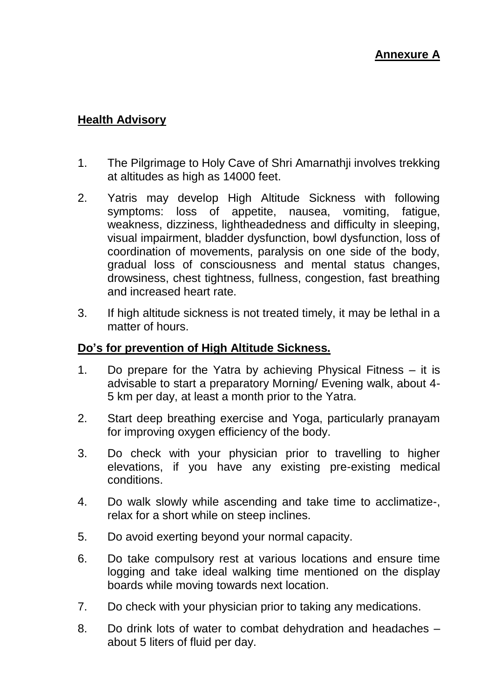## **Health Advisory**

- 1. The Pilgrimage to Holy Cave of Shri Amarnathji involves trekking at altitudes as high as 14000 feet.
- 2. Yatris may develop High Altitude Sickness with following symptoms: loss of appetite, nausea, vomiting, fatigue, weakness, dizziness, lightheadedness and difficulty in sleeping, visual impairment, bladder dysfunction, bowl dysfunction, loss of coordination of movements, paralysis on one side of the body, gradual loss of consciousness and mental status changes, drowsiness, chest tightness, fullness, congestion, fast breathing and increased heart rate.
- 3. If high altitude sickness is not treated timely, it may be lethal in a matter of hours.

## **Do's for prevention of High Altitude Sickness.**

- 1. Do prepare for the Yatra by achieving Physical Fitness it is advisable to start a preparatory Morning/ Evening walk, about 4- 5 km per day, at least a month prior to the Yatra.
- 2. Start deep breathing exercise and Yoga, particularly pranayam for improving oxygen efficiency of the body.
- 3. Do check with your physician prior to travelling to higher elevations, if you have any existing pre-existing medical conditions.
- 4. Do walk slowly while ascending and take time to acclimatize-, relax for a short while on steep inclines.
- 5. Do avoid exerting beyond your normal capacity.
- 6. Do take compulsory rest at various locations and ensure time logging and take ideal walking time mentioned on the display boards while moving towards next location.
- 7. Do check with your physician prior to taking any medications.
- 8. Do drink lots of water to combat dehydration and headaches about 5 liters of fluid per day.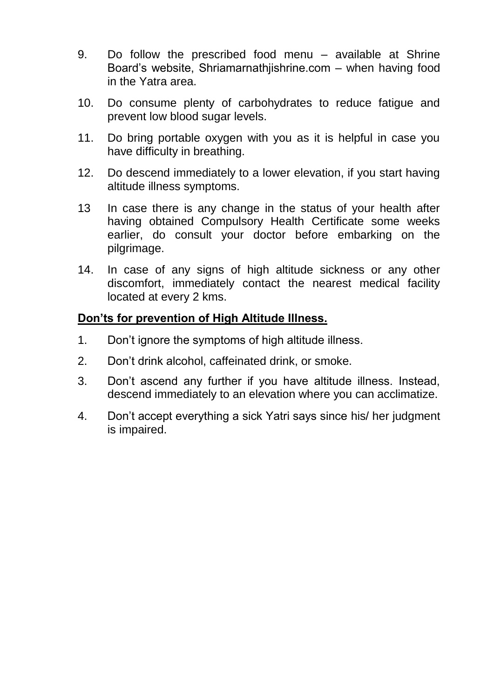- 9. Do follow the prescribed food menu available at Shrine Board's website, Shriamarnathjishrine.com – when having food in the Yatra area.
- 10. Do consume plenty of carbohydrates to reduce fatigue and prevent low blood sugar levels.
- 11. Do bring portable oxygen with you as it is helpful in case you have difficulty in breathing.
- 12. Do descend immediately to a lower elevation, if you start having altitude illness symptoms.
- 13 In case there is any change in the status of your health after having obtained Compulsory Health Certificate some weeks earlier, do consult your doctor before embarking on the pilgrimage.
- 14. In case of any signs of high altitude sickness or any other discomfort, immediately contact the nearest medical facility located at every 2 kms.

## **Don'ts for prevention of High Altitude Illness.**

- 1. Don't ignore the symptoms of high altitude illness.
- 2. Don't drink alcohol, caffeinated drink, or smoke.
- 3. Don't ascend any further if you have altitude illness. Instead, descend immediately to an elevation where you can acclimatize.
- 4. Don't accept everything a sick Yatri says since his/ her judgment is impaired.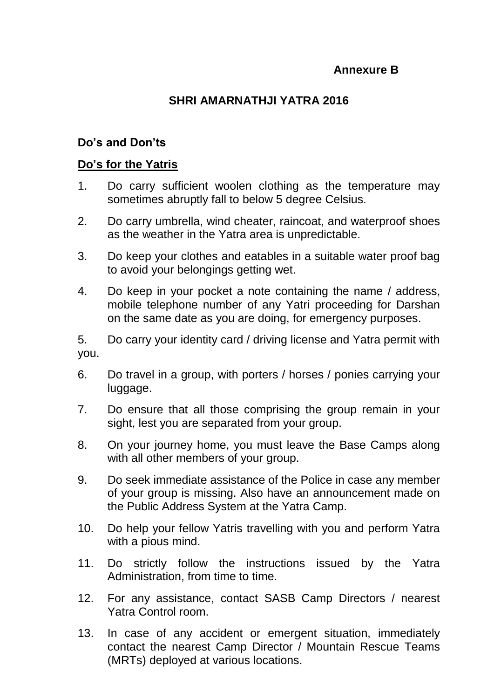## **Annexure B**

## **SHRI AMARNATHJI YATRA 2016**

### **Do's and Don'ts**

#### **Do's for the Yatris**

- 1. Do carry sufficient woolen clothing as the temperature may sometimes abruptly fall to below 5 degree Celsius.
- 2. Do carry umbrella, wind cheater, raincoat, and waterproof shoes as the weather in the Yatra area is unpredictable.
- 3. Do keep your clothes and eatables in a suitable water proof bag to avoid your belongings getting wet.
- 4. Do keep in your pocket a note containing the name / address, mobile telephone number of any Yatri proceeding for Darshan on the same date as you are doing, for emergency purposes.

5. Do carry your identity card / driving license and Yatra permit with you.

- 6. Do travel in a group, with porters / horses / ponies carrying your luggage.
- 7. Do ensure that all those comprising the group remain in your sight, lest you are separated from your group.
- 8. On your journey home, you must leave the Base Camps along with all other members of your group.
- 9. Do seek immediate assistance of the Police in case any member of your group is missing. Also have an announcement made on the Public Address System at the Yatra Camp.
- 10. Do help your fellow Yatris travelling with you and perform Yatra with a pious mind.
- 11. Do strictly follow the instructions issued by the Yatra Administration, from time to time.
- 12. For any assistance, contact SASB Camp Directors / nearest Yatra Control room.
- 13. In case of any accident or emergent situation, immediately contact the nearest Camp Director / Mountain Rescue Teams (MRTs) deployed at various locations.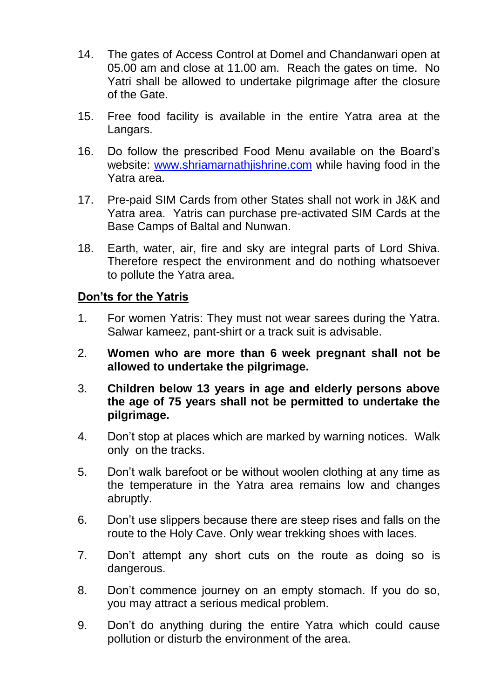- 14. The gates of Access Control at Domel and Chandanwari open at 05.00 am and close at 11.00 am. Reach the gates on time. No Yatri shall be allowed to undertake pilgrimage after the closure of the Gate.
- 15. Free food facility is available in the entire Yatra area at the Langars.
- 16. Do follow the prescribed Food Menu available on the Board's website: [www.shriamarnathjishrine.com](http://www.shriamarnathjishrine.com/) while having food in the Yatra area.
- 17. Pre-paid SIM Cards from other States shall not work in J&K and Yatra area. Yatris can purchase pre-activated SIM Cards at the Base Camps of Baltal and Nunwan.
- 18. Earth, water, air, fire and sky are integral parts of Lord Shiva. Therefore respect the environment and do nothing whatsoever to pollute the Yatra area.

## **Don'ts for the Yatris**

- 1. For women Yatris: They must not wear sarees during the Yatra. Salwar kameez, pant-shirt or a track suit is advisable.
- 2. **Women who are more than 6 week pregnant shall not be allowed to undertake the pilgrimage.**
- 3. **Children below 13 years in age and elderly persons above the age of 75 years shall not be permitted to undertake the pilgrimage.**
- 4. Don't stop at places which are marked by warning notices. Walk only on the tracks.
- 5. Don't walk barefoot or be without woolen clothing at any time as the temperature in the Yatra area remains low and changes abruptly.
- 6. Don't use slippers because there are steep rises and falls on the route to the Holy Cave. Only wear trekking shoes with laces.
- 7. Don't attempt any short cuts on the route as doing so is dangerous.
- 8. Don't commence journey on an empty stomach. If you do so, you may attract a serious medical problem.
- 9. Don't do anything during the entire Yatra which could cause pollution or disturb the environment of the area.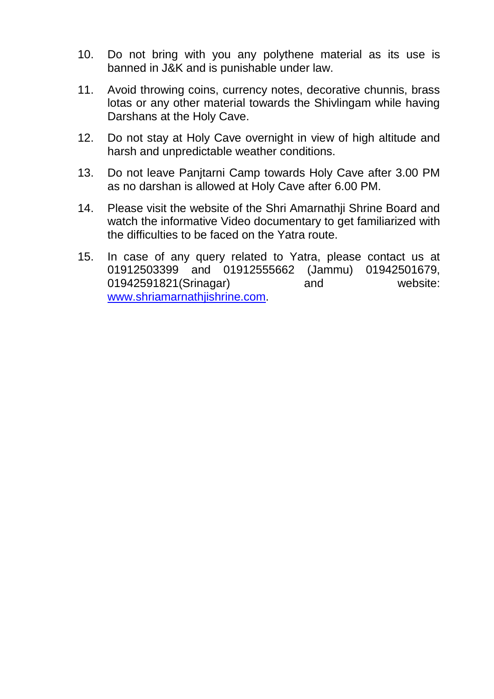- 10. Do not bring with you any polythene material as its use is banned in J&K and is punishable under law.
- 11. Avoid throwing coins, currency notes, decorative chunnis, brass lotas or any other material towards the Shivlingam while having Darshans at the Holy Cave.
- 12. Do not stay at Holy Cave overnight in view of high altitude and harsh and unpredictable weather conditions.
- 13. Do not leave Panjtarni Camp towards Holy Cave after 3.00 PM as no darshan is allowed at Holy Cave after 6.00 PM.
- 14. Please visit the website of the Shri Amarnathji Shrine Board and watch the informative Video documentary to get familiarized with the difficulties to be faced on the Yatra route.
- 15. In case of any query related to Yatra, please contact us at 01912503399 and 01912555662 (Jammu) 01942501679, 01942591821(Srinagar) and website: [www.shriamarnathjishrine.com.](http://www.shriamarnathjishrine.com/)